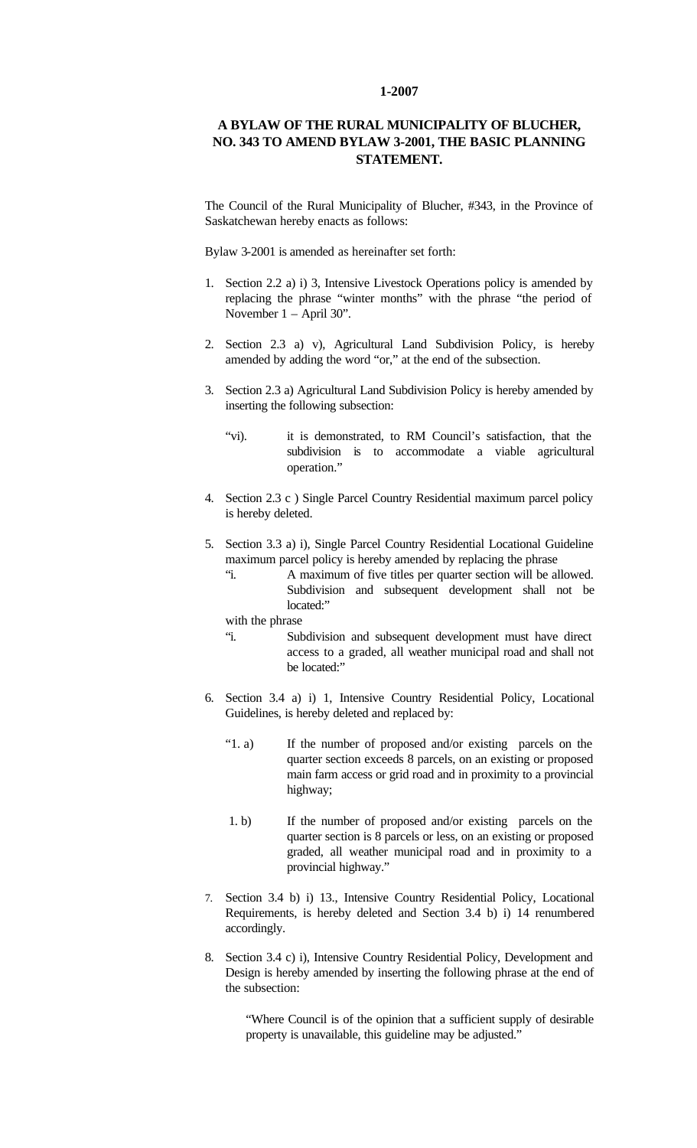## **1-2007**

## **A BYLAW OF THE RURAL MUNICIPALITY OF BLUCHER, NO. 343 TO AMEND BYLAW 3-2001, THE BASIC PLANNING STATEMENT.**

The Council of the Rural Municipality of Blucher, #343, in the Province of Saskatchewan hereby enacts as follows:

Bylaw 3-2001 is amended as hereinafter set forth:

- 1. Section 2.2 a) i) 3, Intensive Livestock Operations policy is amended by replacing the phrase "winter months" with the phrase "the period of November 1 – April 30".
- 2. Section 2.3 a) v), Agricultural Land Subdivision Policy, is hereby amended by adding the word "or," at the end of the subsection.
- 3. Section 2.3 a) Agricultural Land Subdivision Policy is hereby amended by inserting the following subsection:
	- "vi). it is demonstrated, to RM Council's satisfaction, that the subdivision is to accommodate a viable agricultural operation."
- 4. Section 2.3 c ) Single Parcel Country Residential maximum parcel policy is hereby deleted.
- 5. Section 3.3 a) i), Single Parcel Country Residential Locational Guideline maximum parcel policy is hereby amended by replacing the phrase
	- "i. A maximum of five titles per quarter section will be allowed. Subdivision and subsequent development shall not be located:"

with the phrase

- "i. Subdivision and subsequent development must have direct access to a graded, all weather municipal road and shall not be located:"
- 6. Section 3.4 a) i) 1, Intensive Country Residential Policy, Locational Guidelines, is hereby deleted and replaced by:
	- "1. a) If the number of proposed and/or existing parcels on the quarter section exceeds 8 parcels, on an existing or proposed main farm access or grid road and in proximity to a provincial highway;
	- 1. b) If the number of proposed and/or existing parcels on the quarter section is 8 parcels or less, on an existing or proposed graded, all weather municipal road and in proximity to a provincial highway."
- 7. Section 3.4 b) i) 13., Intensive Country Residential Policy, Locational Requirements, is hereby deleted and Section 3.4 b) i) 14 renumbered accordingly.
- 8. Section 3.4 c) i), Intensive Country Residential Policy, Development and Design is hereby amended by inserting the following phrase at the end of the subsection:

"Where Council is of the opinion that a sufficient supply of desirable property is unavailable, this guideline may be adjusted."